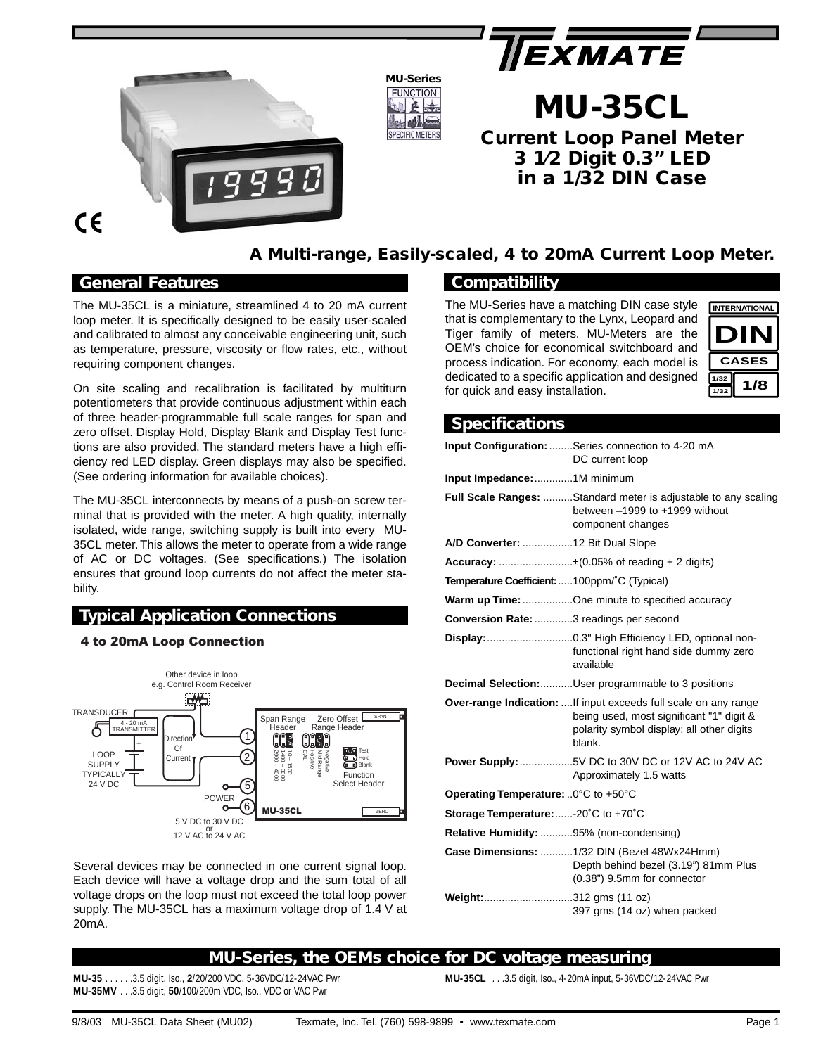



#### **MU-Series FUNCTION** 医选 **CIFIC METERS**

# **MU-35CL Current Loop Panel Meter 3 1⁄2 Digit 0.3" LED in a 1/32 DIN Case**



# **A Multi-range, Easily-scaled, 4 to 20mA Current Loop Meter.**

## *General Features*

The MU-35CL is a miniature, streamlined 4 to 20 mA current loop meter. It is specifically designed to be easily user-scaled and calibrated to almost any conceivable engineering unit, such as temperature, pressure, viscosity or flow rates, etc., without requiring component changes.

On site scaling and recalibration is facilitated by multiturn potentiometers that provide continuous adjustment within each of three header-programmable full scale ranges for span and zero offset. Display Hold, Display Blank and Display Test functions are also provided. The standard meters have a high efficiency red LED display. Green displays may also be specified. (See ordering information for available choices).

The MU-35CL interconnects by means of a push-on screw terminal that is provided with the meter. A high quality, internally isolated, wide range, switching supply is built into every MU-35CL meter. This allows the meter to operate from a wide range of AC or DC voltages. (See specifications.) The isolation ensures that ground loop currents do not affect the meter stability.

## *Typical Application Connections*

### 4 to 20mA Loop Connection



Several devices may be connected in one current signal loop. Each device will have a voltage drop and the sum total of all voltage drops on the loop must not exceed the total loop power supply. The MU-35CL has a maximum voltage drop of 1.4 V at 20mA.

# *Compatibility*

The MU-Series have a matching DIN case style that is complementary to the Lynx, Leopard and Tiger family of meters. MU-Meters are the OEM's choice for economical switchboard and process indication. For economy, each model is dedicated to a specific application and designed for quick and easy installation.



# *Specifications*

|                                                     | Input Configuration: Series connection to 4-20 mA<br>DC current loop                                                                                                      |
|-----------------------------------------------------|---------------------------------------------------------------------------------------------------------------------------------------------------------------------------|
| Input Impedance: 1M minimum                         |                                                                                                                                                                           |
|                                                     | <b>Full Scale Ranges:</b> Standard meter is adjustable to any scaling<br>between $-1999$ to $+1999$ without<br>component changes                                          |
| A/D Converter: 12 Bit Dual Slope                    |                                                                                                                                                                           |
|                                                     | <b>Accuracy:</b> ±(0.05% of reading + 2 digits)                                                                                                                           |
| <b>Temperature Coefficient:</b> 100ppm/°C (Typical) |                                                                                                                                                                           |
|                                                     | <b>Warm up Time:</b> One minute to specified accuracy                                                                                                                     |
| <b>Conversion Rate:</b> 3 readings per second       |                                                                                                                                                                           |
|                                                     | functional right hand side dummy zero<br>available                                                                                                                        |
|                                                     | <b>Decimal Selection:</b> User programmable to 3 positions                                                                                                                |
|                                                     | <b>Over-range Indication:</b> If input exceeds full scale on any range<br>being used, most significant "1" digit &<br>polarity symbol display; all other digits<br>blank. |
|                                                     | Power Supply: 5V DC to 30V DC or 12V AC to 24V AC<br>Approximately 1.5 watts                                                                                              |
| Operating Temperature: 0°C to +50°C                 |                                                                                                                                                                           |
| Storage Temperature: -20°C to +70°C                 |                                                                                                                                                                           |
| Relative Humidity: 95% (non-condensing)             |                                                                                                                                                                           |
|                                                     | Case Dimensions: 1/32 DIN (Bezel 48Wx24Hmm)<br>Depth behind bezel (3.19") 81mm Plus<br>(0.38") 9.5mm for connector                                                        |
| Weight: 312 gms (11 oz)                             | 397 gms (14 oz) when packed                                                                                                                                               |

# *MU-Series, the OEMs choice for DC voltage measuring*

**MU-35** . . . . . .3.5 digit, Iso., **2**/20/200 VDC, 5-36VDC/12-24VAC Pwr **MU-35MV** . . .3.5 digit, **50**/100/200m VDC, Iso., VDC or VAC Pwr

**MU-35CL** . . .3.5 digit, Iso., 4-20mA input, 5-36VDC/12-24VAC Pwr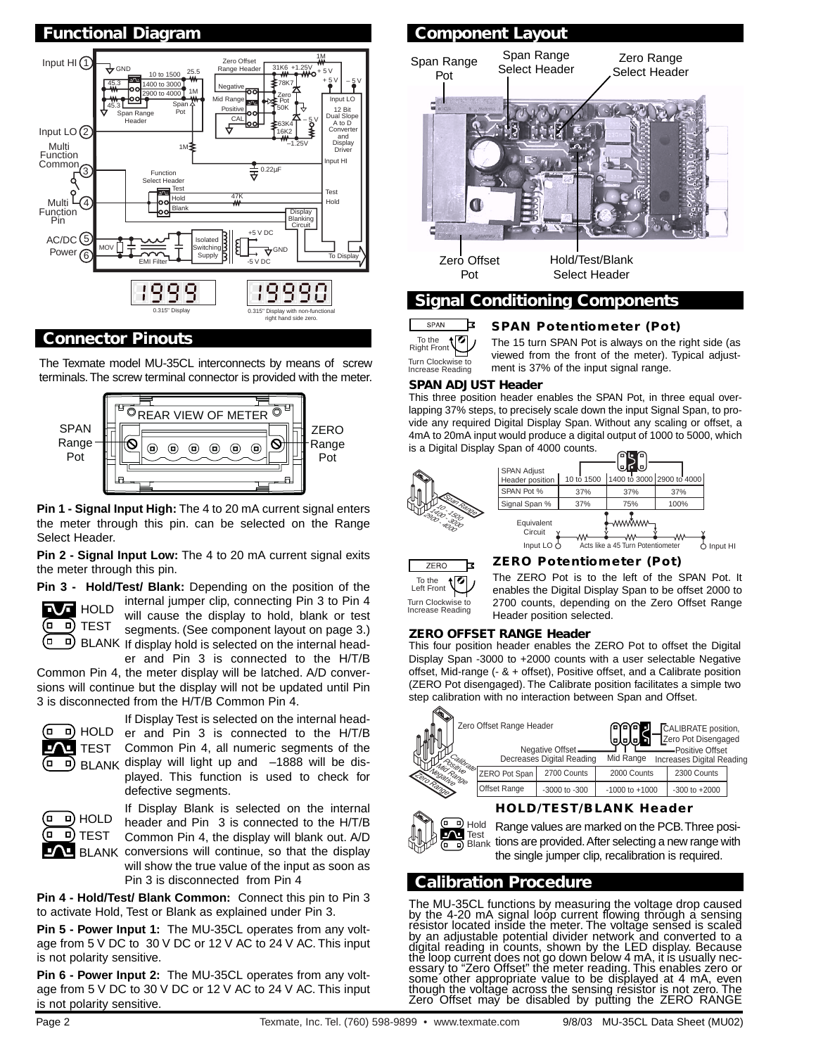

## *Connector Pinouts*

The Texmate model MU-35CL interconnects by means of screw terminals.The screw terminal connector is provided with the meter.



**Pin 1 - Signal Input High:** The 4 to 20 mA current signal enters the meter through this pin. can be selected on the Range Select Header.

**Pin 2 - Signal Input Low:** The 4 to 20 mA current signal exits the meter through this pin.



**Pin 3 - Hold/Test/ Blank:** Depending on the position of the internal jumper clip, connecting Pin 3 to Pin 4 will cause the display to hold, blank or test segments. (See component layout on page 3.) BLANK If display hold is selected on the internal head-

er and Pin 3 is connected to the H/T/B Common Pin 4, the meter display will be latched. A/D conversions will continue but the display will not be updated until Pin 3 is disconnected from the H/T/B Common Pin 4.



If Display Test is selected on the internal head-HOLD er and Pin 3 is connected to the H/T/B TEST Common Pin 4, all numeric segments of the BLANK display will light up and -1888 will be displayed. This function is used to check for defective segments.



If Display Blank is selected on the internal header and Pin 3 is connected to the H/T/B Common Pin 4, the display will blank out. A/D BLANK conversions will continue, so that the display will show the true value of the input as soon as Pin 3 is disconnected from Pin 4

**Pin 4 - Hold/Test/ Blank Common:** Connect this pin to Pin 3 to activate Hold, Test or Blank as explained under Pin 3.

**Pin 5 - Power Input 1:** The MU-35CL operates from any voltage from 5 V DC to 30 V DC or 12 V AC to 24 V AC. This input is not polarity sensitive.

**Pin 6 - Power Input 2:** The MU-35CL operates from any voltage from 5 V DC to 30 V DC or 12 V AC to 24 V AC. This input is not polarity sensitive.



SPAN 려 t Ø To the Right Front

Turn Clockwise to Increase Reading

*SPAN Potentiometer (Pot)*

The 15 turn SPAN Pot is always on the right side (as viewed from the front of the meter). Typical adjustment is 37% of the input signal range.

#### *SPAN ADJUST Header*

This three position header enables the SPAN Pot, in three equal overlapping 37% steps, to precisely scale down the input Signal Span, to provide any required Digital Display Span. Without any scaling or offset, a 4mA to 20mA input would produce a digital output of 1000 to 5000, which is a Digital Display Span of 4000 counts.







### *ZERO Potentiometer (Pot)*

The ZERO Pot is to the left of the SPAN Pot. It enables the Digital Display Span to be offset 2000 to 2700 counts, depending on the Zero Offset Range Header position selected.

#### *ZERO OFFSET RANGE Header*

This four position header enables the ZERO Pot to offset the Digital Display Span -3000 to +2000 counts with a user selectable Negative offset, Mid-range (- & + offset), Positive offset, and a Calibrate position (ZERO Pot disengaged). The Calibrate position facilitates a simple two step calibration with no interaction between Span and Offset.

| Zero Offset Range Header |                                                 |                                              | CALIBRATE position,<br>Zero Pot Disengaged<br>ololo |                                               |  |  |
|--------------------------|-------------------------------------------------|----------------------------------------------|-----------------------------------------------------|-----------------------------------------------|--|--|
|                          |                                                 | Negative Offset<br>Decreases Digital Reading | Mid Range                                           | -Positive Offset<br>Increases Digital Reading |  |  |
| n Range                  | $\sqrt{\frac{m}{k}}$ ZERO Pot Span <sup>1</sup> | 2700 Counts                                  | 2000 Counts                                         | 2300 Counts                                   |  |  |
| $v_{\infty}$             | Offset Range                                    | $-3000$ to $-300$                            | $-1000$ to $+1000$                                  | $-300$ to $+2000$                             |  |  |
|                          |                                                 |                                              |                                                     |                                               |  |  |

#### *HOLD/TEST/BLANK Header*



Range values are marked on the PCB.Three positions are provided.After selecting a new range with the single jumper clip, recalibration is required.

# *Calibration Procedure*

The MU-35CL functions by measuring the voltage drop caused by the 4-20 mA signal loop current flowing through a sensing resistor located inside the meter. The voltage sensed is scaled by an adjustable potential divider network and converted to a digital reading in counts, shown by the LED display. Because thĕ loop current does not go down below 4 mA, it is usually necessary to "Zero Offset" the meter reading. This enables zero or<br>some other appropriate value to be displayed at 4 mA, even though the voltage across the sensing resistor is not zero. The Zero Offset may be disabled by putting the ZERO RANGE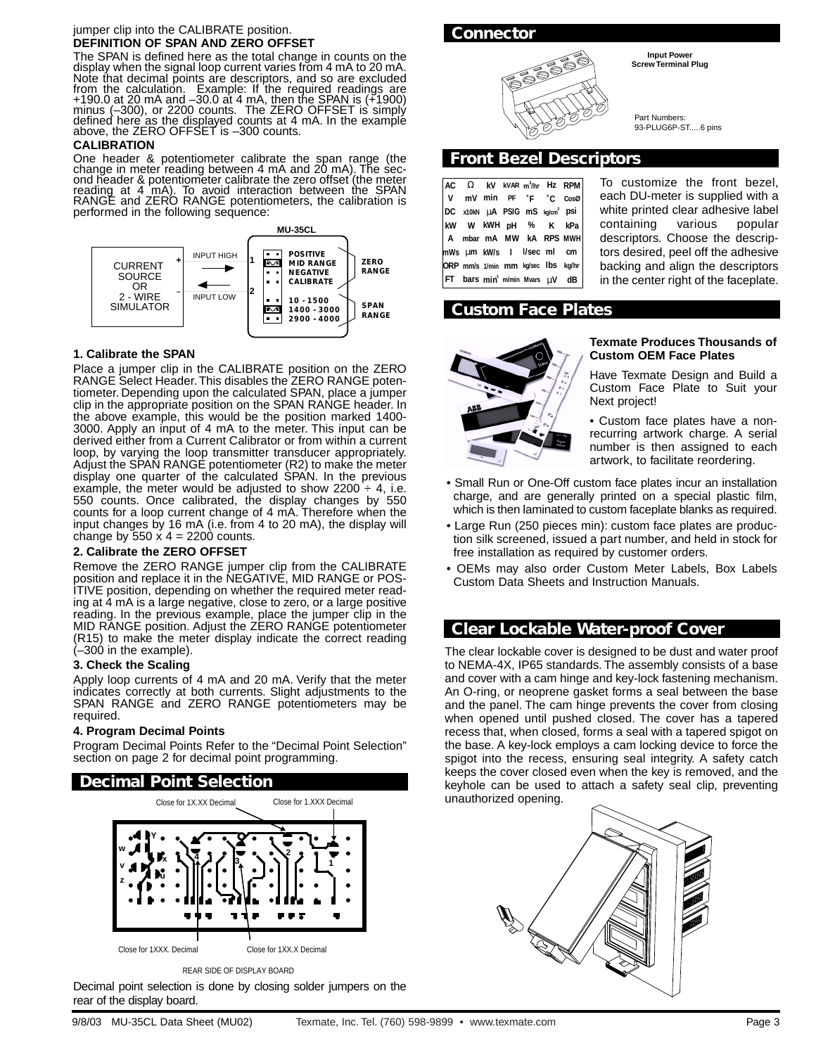#### jumper clip into the CALIBRATE position. **DEFINITION OF SPAN AND ZERO OFFSET**

The SPAN is defined here as the total change in counts on the display when the signal loop current varies from 4 mA to 20 mA. Note that decimal points are descriptors, and so are excluded from the calculation. Example: If the required readings are +190.0 at 20 mA and –30.0 at 4 mA, then the SPAN is (+1900)<br>minus (–300), or 2200 counts. The ZERO OFFSET is simply<br>defined here as the displayed counts at 4 mA. In the example defined here as the displayed counts at 4 mA. In the example above, the ZERO OFFSET is -300 counts.

#### **CALIBRATION**

One header & potentiometer calibrate the span range (the change in meter reading between 4 mA and 20 mA). The second header & potentiometer calibrate the zero offset (the meter reading at 4 mA). To avoid interaction between the SPAN RANGE and ZERO RANGE potentiometers, the calibration is performed in the following sequence:



#### **1. Calibrate the SPAN**

Place a jumper clip in the CALIBRATE position on the ZERO RANGE Select Header. This disables the ZERO RANGE potentiometer. Depending upon the calculated SPAN, place a jumper clip in the appropriate position on the SPAN RANGE header. In the above example, this would be the position marked 1400- 3000. Apply an input of 4 mA to the meter. This input can be derived either from a Current Calibrator or from within a current loop, by varying the loop transmitter transducer appropriately. Adjust the SPAN RANGE potentiometer (R2) to make the meter display one quarter of the calculated SPAN. In the previous example, the meter would be adjusted to show  $2200 \div 4$ , i.e. 550 counts. Once calibrated, the display changes by 550 counts for a loop current change of 4 mA. Therefore when the input changes by 16 mA (i.e. from 4 to 20 mA), the display will change by  $550 \times 4 = 2200$  counts.

#### **2. Calibrate the ZERO OFFSET**

Remove the ZERO RANGE jumper clip from the CALIBRATE position and replace it in the NEGATIVE, MID RANGE or POS-ITIVE position, depending on whether the required meter reading at 4 mA is a large negative, close to zero, or a large positive reading. In the previous example, place the jumper clip in the MID RANGE position. Adjust the ZERO RANGE potentiometer (R15) to make the meter display indicate the correct reading  $(-300)$  in the example).

#### **3. Check the Scaling**

Apply loop currents of 4 mA and 20 mA. Verify that the meter indicates correctly at both currents. Slight adjustments to the SPAN RANGE and ZERO RANGE potentiometers may be required.

#### **4. Program Decimal Points**

Program Decimal Points Refer to the "Decimal Point Selection" section on page 2 for decimal point programming.

### *Decimal Point Selection*



REAR SIDE OF DISPLAY BOARD

Decimal point selection is done by closing solder jumpers on the rear of the display board.





Part Numbers: 93-PLUG6P-ST.....6 pins

### *Front Bezel Descriptors*

|  |  |                                                    | $ AC \tOmega \t kV$ kVaR m <sup>3</sup> /hr Hz RPM |
|--|--|----------------------------------------------------|----------------------------------------------------|
|  |  | V mV min PF °F °C CosØ                             |                                                    |
|  |  | DC x10kN µA PSIG mS kg/cm <sup>2</sup> psi         |                                                    |
|  |  | kw w kWH pH % K kPa                                |                                                    |
|  |  |                                                    | A mbar mA MW kA RPS MWH                            |
|  |  | mWs um kW/s   I/sec ml cm                          |                                                    |
|  |  |                                                    | ORP mm/s 1/min mm kg/sec Ibs kg/hr                 |
|  |  | $ FT$ bars min <sup>1</sup> m/min Mvars $\mu V$ dB |                                                    |

To customize the front bezel, each DU-meter is supplied with a white printed clear adhesive label containing various popular descriptors. Choose the descriptors desired, peel off the adhesive backing and align the descriptors in the center right of the faceplate.

## *Custom Face Plates*



#### **Texmate Produces Thousands of Custom OEM Face Plates**

Have Texmate Design and Build a Custom Face Plate to Suit your Next project!

• Custom face plates have a nonrecurring artwork charge. A serial number is then assigned to each artwork, to facilitate reordering.

- Small Run or One-Off custom face plates incur an installation charge, and are generally printed on a special plastic film, which is then laminated to custom faceplate blanks as required.
- Large Run (250 pieces min): custom face plates are production silk screened, issued a part number, and held in stock for free installation as required by customer orders.
- OEMs may also order Custom Meter Labels, Box Labels Custom Data Sheets and Instruction Manuals.

## *Clear Lockable Water-proof Cover*

The clear lockable cover is designed to be dust and water proof to NEMA-4X, IP65 standards. The assembly consists of a base and cover with a cam hinge and key-lock fastening mechanism. An O-ring, or neoprene gasket forms a seal between the base and the panel. The cam hinge prevents the cover from closing when opened until pushed closed. The cover has a tapered recess that, when closed, forms a seal with a tapered spigot on the base. A key-lock employs a cam locking device to force the spigot into the recess, ensuring seal integrity. A safety catch keeps the cover closed even when the key is removed, and the keyhole can be used to attach a safety seal clip, preventing unauthorized opening.



**Input Power Screw Terminal Plug**